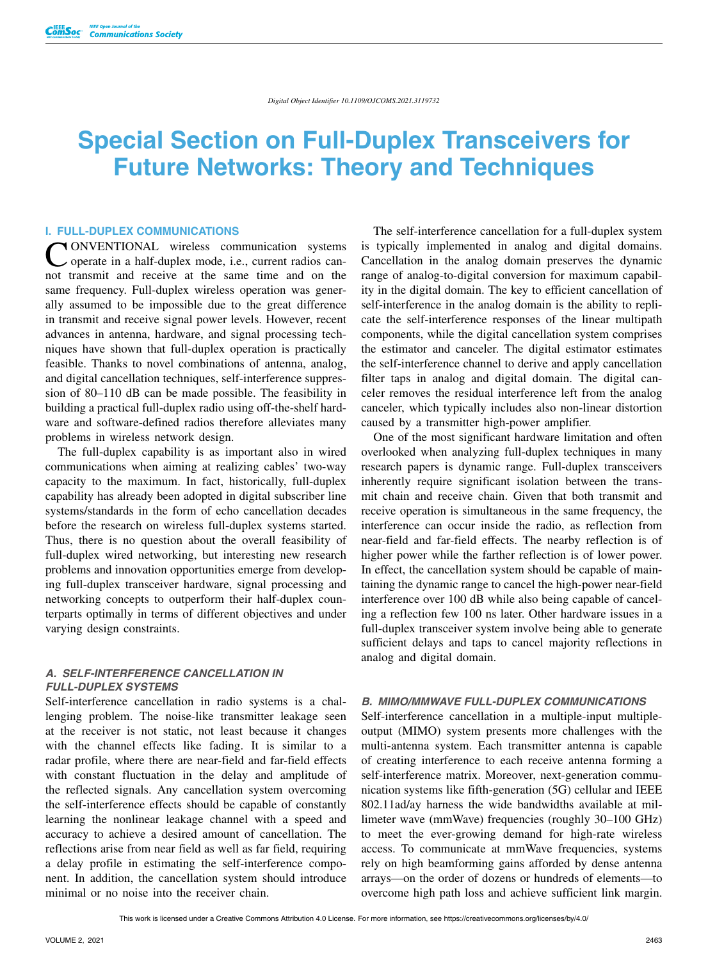# **Special Section on Full-Duplex Transceivers for Future Networks: Theory and Techniques**

# **I. FULL-DUPLEX COMMUNICATIONS**

CONVENTIONAL wireless communication systems<br>
operate in a half-duplex mode, i.e., current radios can-<br>
and transmit and maxime at the same time and an the not transmit and receive at the same time and on the same frequency. Full-duplex wireless operation was generally assumed to be impossible due to the great difference in transmit and receive signal power levels. However, recent advances in antenna, hardware, and signal processing techniques have shown that full-duplex operation is practically feasible. Thanks to novel combinations of antenna, analog, and digital cancellation techniques, self-interference suppression of 80–110 dB can be made possible. The feasibility in building a practical full-duplex radio using off-the-shelf hardware and software-defined radios therefore alleviates many problems in wireless network design.

The full-duplex capability is as important also in wired communications when aiming at realizing cables' two-way capacity to the maximum. In fact, historically, full-duplex capability has already been adopted in digital subscriber line systems/standards in the form of echo cancellation decades before the research on wireless full-duplex systems started. Thus, there is no question about the overall feasibility of full-duplex wired networking, but interesting new research problems and innovation opportunities emerge from developing full-duplex transceiver hardware, signal processing and networking concepts to outperform their half-duplex counterparts optimally in terms of different objectives and under varying design constraints.

## *A. SELF-INTERFERENCE CANCELLATION IN FULL-DUPLEX SYSTEMS*

Self-interference cancellation in radio systems is a challenging problem. The noise-like transmitter leakage seen at the receiver is not static, not least because it changes with the channel effects like fading. It is similar to a radar profile, where there are near-field and far-field effects with constant fluctuation in the delay and amplitude of the reflected signals. Any cancellation system overcoming the self-interference effects should be capable of constantly learning the nonlinear leakage channel with a speed and accuracy to achieve a desired amount of cancellation. The reflections arise from near field as well as far field, requiring a delay profile in estimating the self-interference component. In addition, the cancellation system should introduce minimal or no noise into the receiver chain.

The self-interference cancellation for a full-duplex system is typically implemented in analog and digital domains. Cancellation in the analog domain preserves the dynamic range of analog-to-digital conversion for maximum capability in the digital domain. The key to efficient cancellation of self-interference in the analog domain is the ability to replicate the self-interference responses of the linear multipath components, while the digital cancellation system comprises the estimator and canceler. The digital estimator estimates the self-interference channel to derive and apply cancellation filter taps in analog and digital domain. The digital canceler removes the residual interference left from the analog canceler, which typically includes also non-linear distortion caused by a transmitter high-power amplifier.

One of the most significant hardware limitation and often overlooked when analyzing full-duplex techniques in many research papers is dynamic range. Full-duplex transceivers inherently require significant isolation between the transmit chain and receive chain. Given that both transmit and receive operation is simultaneous in the same frequency, the interference can occur inside the radio, as reflection from near-field and far-field effects. The nearby reflection is of higher power while the farther reflection is of lower power. In effect, the cancellation system should be capable of maintaining the dynamic range to cancel the high-power near-field interference over 100 dB while also being capable of canceling a reflection few 100 ns later. Other hardware issues in a full-duplex transceiver system involve being able to generate sufficient delays and taps to cancel majority reflections in analog and digital domain.

#### *B. MIMO/MMWAVE FULL-DUPLEX COMMUNICATIONS*

Self-interference cancellation in a multiple-input multipleoutput (MIMO) system presents more challenges with the multi-antenna system. Each transmitter antenna is capable of creating interference to each receive antenna forming a self-interference matrix. Moreover, next-generation communication systems like fifth-generation (5G) cellular and IEEE 802.11ad/ay harness the wide bandwidths available at millimeter wave (mmWave) frequencies (roughly 30–100 GHz) to meet the ever-growing demand for high-rate wireless access. To communicate at mmWave frequencies, systems rely on high beamforming gains afforded by dense antenna arrays—on the order of dozens or hundreds of elements—to overcome high path loss and achieve sufficient link margin.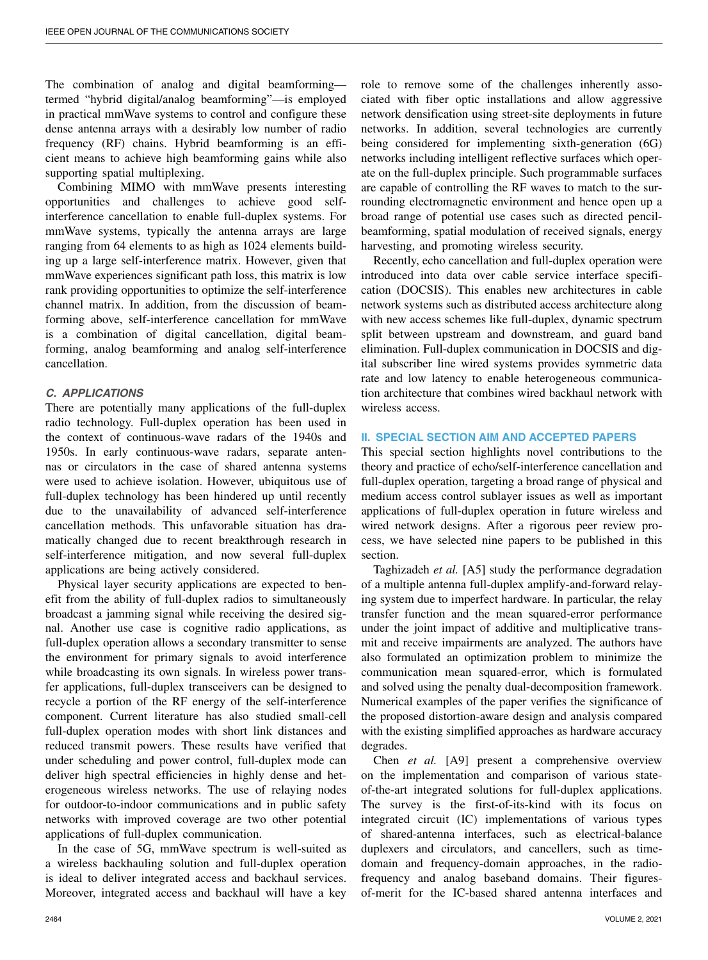The combination of analog and digital beamforming termed "hybrid digital/analog beamforming"—is employed in practical mmWave systems to control and configure these dense antenna arrays with a desirably low number of radio frequency (RF) chains. Hybrid beamforming is an efficient means to achieve high beamforming gains while also supporting spatial multiplexing.

Combining MIMO with mmWave presents interesting opportunities and challenges to achieve good selfinterference cancellation to enable full-duplex systems. For mmWave systems, typically the antenna arrays are large ranging from 64 elements to as high as 1024 elements building up a large self-interference matrix. However, given that mmWave experiences significant path loss, this matrix is low rank providing opportunities to optimize the self-interference channel matrix. In addition, from the discussion of beamforming above, self-interference cancellation for mmWave is a combination of digital cancellation, digital beamforming, analog beamforming and analog self-interference cancellation.

## *C. APPLICATIONS*

There are potentially many applications of the full-duplex radio technology. Full-duplex operation has been used in the context of continuous-wave radars of the 1940s and 1950s. In early continuous-wave radars, separate antennas or circulators in the case of shared antenna systems were used to achieve isolation. However, ubiquitous use of full-duplex technology has been hindered up until recently due to the unavailability of advanced self-interference cancellation methods. This unfavorable situation has dramatically changed due to recent breakthrough research in self-interference mitigation, and now several full-duplex applications are being actively considered.

Physical layer security applications are expected to benefit from the ability of full-duplex radios to simultaneously broadcast a jamming signal while receiving the desired signal. Another use case is cognitive radio applications, as full-duplex operation allows a secondary transmitter to sense the environment for primary signals to avoid interference while broadcasting its own signals. In wireless power transfer applications, full-duplex transceivers can be designed to recycle a portion of the RF energy of the self-interference component. Current literature has also studied small-cell full-duplex operation modes with short link distances and reduced transmit powers. These results have verified that under scheduling and power control, full-duplex mode can deliver high spectral efficiencies in highly dense and heterogeneous wireless networks. The use of relaying nodes for outdoor-to-indoor communications and in public safety networks with improved coverage are two other potential applications of full-duplex communication.

In the case of 5G, mmWave spectrum is well-suited as a wireless backhauling solution and full-duplex operation is ideal to deliver integrated access and backhaul services. Moreover, integrated access and backhaul will have a key role to remove some of the challenges inherently associated with fiber optic installations and allow aggressive network densification using street-site deployments in future networks. In addition, several technologies are currently being considered for implementing sixth-generation (6G) networks including intelligent reflective surfaces which operate on the full-duplex principle. Such programmable surfaces are capable of controlling the RF waves to match to the surrounding electromagnetic environment and hence open up a broad range of potential use cases such as directed pencilbeamforming, spatial modulation of received signals, energy harvesting, and promoting wireless security.

Recently, echo cancellation and full-duplex operation were introduced into data over cable service interface specification (DOCSIS). This enables new architectures in cable network systems such as distributed access architecture along with new access schemes like full-duplex, dynamic spectrum split between upstream and downstream, and guard band elimination. Full-duplex communication in DOCSIS and digital subscriber line wired systems provides symmetric data rate and low latency to enable heterogeneous communication architecture that combines wired backhaul network with wireless access.

# **II. SPECIAL SECTION AIM AND ACCEPTED PAPERS**

This special section highlights novel contributions to the theory and practice of echo/self-interference cancellation and full-duplex operation, targeting a broad range of physical and medium access control sublayer issues as well as important applications of full-duplex operation in future wireless and wired network designs. After a rigorous peer review process, we have selected nine papers to be published in this section.

Taghizadeh *et al.* [A5] study the performance degradation of a multiple antenna full-duplex amplify-and-forward relaying system due to imperfect hardware. In particular, the relay transfer function and the mean squared-error performance under the joint impact of additive and multiplicative transmit and receive impairments are analyzed. The authors have also formulated an optimization problem to minimize the communication mean squared-error, which is formulated and solved using the penalty dual-decomposition framework. Numerical examples of the paper verifies the significance of the proposed distortion-aware design and analysis compared with the existing simplified approaches as hardware accuracy degrades.

Chen *et al.* [A9] present a comprehensive overview on the implementation and comparison of various stateof-the-art integrated solutions for full-duplex applications. The survey is the first-of-its-kind with its focus on integrated circuit (IC) implementations of various types of shared-antenna interfaces, such as electrical-balance duplexers and circulators, and cancellers, such as timedomain and frequency-domain approaches, in the radiofrequency and analog baseband domains. Their figuresof-merit for the IC-based shared antenna interfaces and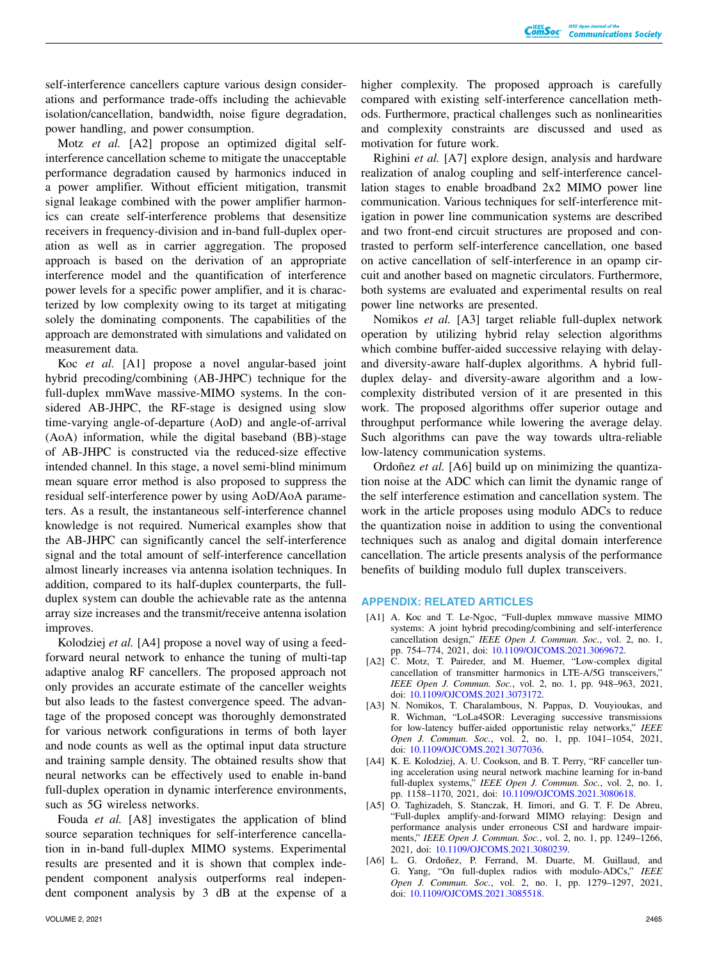self-interference cancellers capture various design considerations and performance trade-offs including the achievable isolation/cancellation, bandwidth, noise figure degradation, power handling, and power consumption.

Motz *et al.* [A2] propose an optimized digital selfinterference cancellation scheme to mitigate the unacceptable performance degradation caused by harmonics induced in a power amplifier. Without efficient mitigation, transmit signal leakage combined with the power amplifier harmonics can create self-interference problems that desensitize receivers in frequency-division and in-band full-duplex operation as well as in carrier aggregation. The proposed approach is based on the derivation of an appropriate interference model and the quantification of interference power levels for a specific power amplifier, and it is characterized by low complexity owing to its target at mitigating solely the dominating components. The capabilities of the approach are demonstrated with simulations and validated on measurement data.

Koc *et al.* [A1] propose a novel angular-based joint hybrid precoding/combining (AB-JHPC) technique for the full-duplex mmWave massive-MIMO systems. In the considered AB-JHPC, the RF-stage is designed using slow time-varying angle-of-departure (AoD) and angle-of-arrival (AoA) information, while the digital baseband (BB)-stage of AB-JHPC is constructed via the reduced-size effective intended channel. In this stage, a novel semi-blind minimum mean square error method is also proposed to suppress the residual self-interference power by using AoD/AoA parameters. As a result, the instantaneous self-interference channel knowledge is not required. Numerical examples show that the AB-JHPC can significantly cancel the self-interference signal and the total amount of self-interference cancellation almost linearly increases via antenna isolation techniques. In addition, compared to its half-duplex counterparts, the fullduplex system can double the achievable rate as the antenna array size increases and the transmit/receive antenna isolation improves.

Kolodziej *et al.* [A4] propose a novel way of using a feedforward neural network to enhance the tuning of multi-tap adaptive analog RF cancellers. The proposed approach not only provides an accurate estimate of the canceller weights but also leads to the fastest convergence speed. The advantage of the proposed concept was thoroughly demonstrated for various network configurations in terms of both layer and node counts as well as the optimal input data structure and training sample density. The obtained results show that neural networks can be effectively used to enable in-band full-duplex operation in dynamic interference environments, such as 5G wireless networks.

Fouda *et al.* [A8] investigates the application of blind source separation techniques for self-interference cancellation in in-band full-duplex MIMO systems. Experimental results are presented and it is shown that complex independent component analysis outperforms real independent component analysis by 3 dB at the expense of a higher complexity. The proposed approach is carefully compared with existing self-interference cancellation methods. Furthermore, practical challenges such as nonlinearities and complexity constraints are discussed and used as motivation for future work.

Righini *et al.* [A7] explore design, analysis and hardware realization of analog coupling and self-interference cancellation stages to enable broadband 2x2 MIMO power line communication. Various techniques for self-interference mitigation in power line communication systems are described and two front-end circuit structures are proposed and contrasted to perform self-interference cancellation, one based on active cancellation of self-interference in an opamp circuit and another based on magnetic circulators. Furthermore, both systems are evaluated and experimental results on real power line networks are presented.

Nomikos *et al.* [A3] target reliable full-duplex network operation by utilizing hybrid relay selection algorithms which combine buffer-aided successive relaying with delayand diversity-aware half-duplex algorithms. A hybrid fullduplex delay- and diversity-aware algorithm and a lowcomplexity distributed version of it are presented in this work. The proposed algorithms offer superior outage and throughput performance while lowering the average delay. Such algorithms can pave the way towards ultra-reliable low-latency communication systems.

Ordoñez *et al.* [A6] build up on minimizing the quantization noise at the ADC which can limit the dynamic range of the self interference estimation and cancellation system. The work in the article proposes using modulo ADCs to reduce the quantization noise in addition to using the conventional techniques such as analog and digital domain interference cancellation. The article presents analysis of the performance benefits of building modulo full duplex transceivers.

### **APPENDIX: RELATED ARTICLES**

- [A1] A. Koc and T. Le-Ngoc, "Full-duplex mmwave massive MIMO systems: A joint hybrid precoding/combining and self-interference cancellation design," *IEEE Open J. Commun. Soc.*, vol. 2, no. 1, pp. 754–774, 2021, doi: [10.1109/OJCOMS.2021.3069672.](http://dx.doi.org/10.1109/OJCOMS.2021.3069672)
- [A2] C. Motz, T. Paireder, and M. Huemer, "Low-complex digital cancellation of transmitter harmonics in LTE-A/5G transceivers," *IEEE Open J. Commun. Soc.*, vol. 2, no. 1, pp. 948–963, 2021, doi: [10.1109/OJCOMS.2021.3073172.](http://dx.doi.org/10.1109/OJCOMS.2021.3073172)
- [A3] N. Nomikos, T. Charalambous, N. Pappas, D. Vouyioukas, and R. Wichman, "LoLa4SOR: Leveraging successive transmissions for low-latency buffer-aided opportunistic relay networks," *IEEE Open J. Commun. Soc.*, vol. 2, no. 1, pp. 1041–1054, 2021, doi: [10.1109/OJCOMS.2021.3077036.](http://dx.doi.org/10.1109/OJCOMS.2021.3077036)
- [A4] K. E. Kolodziej, A. U. Cookson, and B. T. Perry, "RF canceller tuning acceleration using neural network machine learning for in-band full-duplex systems," *IEEE Open J. Commun. Soc.*, vol. 2, no. 1, pp. 1158–1170, 2021, doi: [10.1109/OJCOMS.2021.3080618.](http://dx.doi.org/10.1109/OJCOMS.2021.3080618)
- [A5] O. Taghizadeh, S. Stanczak, H. Iimori, and G. T. F. De Abreu, "Full-duplex amplify-and-forward MIMO relaying: Design and performance analysis under erroneous CSI and hardware impairments," *IEEE Open J. Commun. Soc.*, vol. 2, no. 1, pp. 1249–1266, 2021, doi: [10.1109/OJCOMS.2021.3080239.](http://dx.doi.org/10.1109/OJCOMS.2021.3080239)
- [A6] L. G. Ordoñez, P. Ferrand, M. Duarte, M. Guillaud, and G. Yang, "On full-duplex radios with modulo-ADCs," *IEEE Open J. Commun. Soc.*, vol. 2, no. 1, pp. 1279–1297, 2021, doi: [10.1109/OJCOMS.2021.3085518.](http://dx.doi.org/10.1109/OJCOMS.2021.3085518)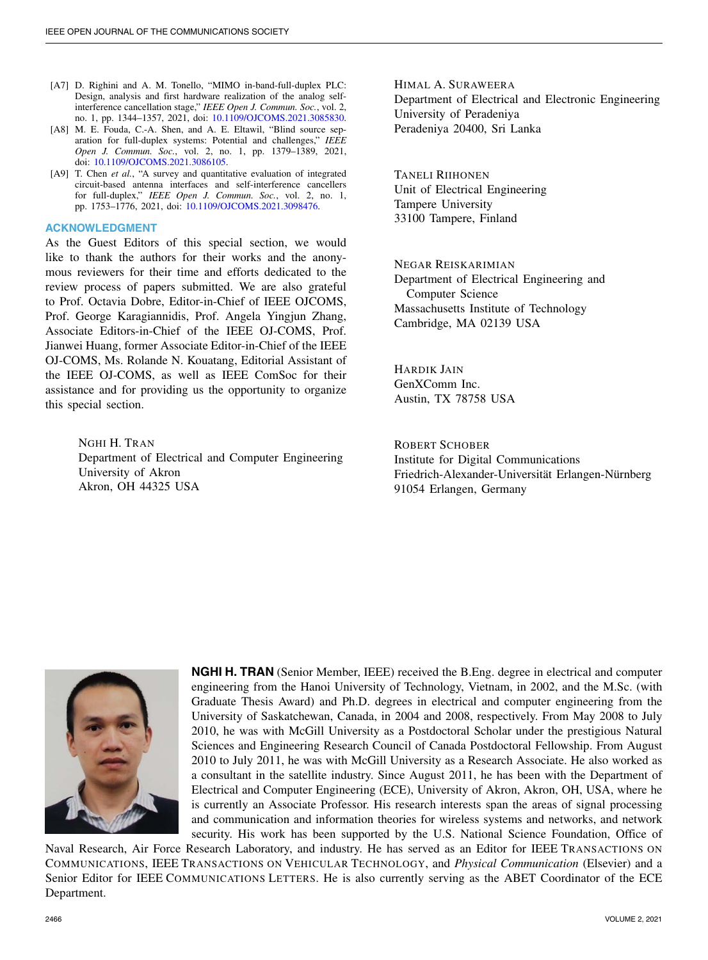- [A7] D. Righini and A. M. Tonello, "MIMO in-band-full-duplex PLC: Design, analysis and first hardware realization of the analog selfinterference cancellation stage," *IEEE Open J. Commun. Soc.*, vol. 2, no. 1, pp. 1344–1357, 2021, doi: [10.1109/OJCOMS.2021.3085830.](http://dx.doi.org/10.1109/OJCOMS.2021.3085830)
- [A8] M. E. Fouda, C.-A. Shen, and A. E. Eltawil, "Blind source separation for full-duplex systems: Potential and challenges," *IEEE Open J. Commun. Soc.*, vol. 2, no. 1, pp. 1379–1389, 2021, doi: [10.1109/OJCOMS.2021.3086105.](http://dx.doi.org/10.1109/OJCOMS.2021.3086105)
- [A9] T. Chen *et al.*, "A survey and quantitative evaluation of integrated circuit-based antenna interfaces and self-interference cancellers for full-duplex," *IEEE Open J. Commun. Soc.*, vol. 2, no. 1, pp. 1753–1776, 2021, doi: [10.1109/OJCOMS.2021.3098476.](http://dx.doi.org/10.1109/OJCOMS.2021.3098476)

### **ACKNOWLEDGMENT**

As the Guest Editors of this special section, we would like to thank the authors for their works and the anonymous reviewers for their time and efforts dedicated to the review process of papers submitted. We are also grateful to Prof. Octavia Dobre, Editor-in-Chief of IEEE OJCOMS, Prof. George Karagiannidis, Prof. Angela Yingjun Zhang, Associate Editors-in-Chief of the IEEE OJ-COMS, Prof. Jianwei Huang, former Associate Editor-in-Chief of the IEEE OJ-COMS, Ms. Rolande N. Kouatang, Editorial Assistant of the IEEE OJ-COMS, as well as IEEE ComSoc for their assistance and for providing us the opportunity to organize this special section.

> NGHI H. TRAN Department of Electrical and Computer Engineering University of Akron Akron, OH 44325 USA

HIMAL A. SURAWEERA Department of Electrical and Electronic Engineering University of Peradeniya Peradeniya 20400, Sri Lanka

TANELI RIIHONEN Unit of Electrical Engineering Tampere University 33100 Tampere, Finland

NEGAR REISKARIMIAN Department of Electrical Engineering and Computer Science Massachusetts Institute of Technology Cambridge, MA 02139 USA

HARDIK JAIN GenXComm Inc. Austin, TX 78758 USA

ROBERT SCHOBER Institute for Digital Communications Friedrich-Alexander-Universität Erlangen-Nürnberg 91054 Erlangen, Germany



**NGHI H. TRAN** (Senior Member, IEEE) received the B.Eng. degree in electrical and computer engineering from the Hanoi University of Technology, Vietnam, in 2002, and the M.Sc. (with Graduate Thesis Award) and Ph.D. degrees in electrical and computer engineering from the University of Saskatchewan, Canada, in 2004 and 2008, respectively. From May 2008 to July 2010, he was with McGill University as a Postdoctoral Scholar under the prestigious Natural Sciences and Engineering Research Council of Canada Postdoctoral Fellowship. From August 2010 to July 2011, he was with McGill University as a Research Associate. He also worked as a consultant in the satellite industry. Since August 2011, he has been with the Department of Electrical and Computer Engineering (ECE), University of Akron, Akron, OH, USA, where he is currently an Associate Professor. His research interests span the areas of signal processing and communication and information theories for wireless systems and networks, and network security. His work has been supported by the U.S. National Science Foundation, Office of

Naval Research, Air Force Research Laboratory, and industry. He has served as an Editor for IEEE TRANSACTIONS ON COMMUNICATIONS, IEEE TRANSACTIONS ON VEHICULAR TECHNOLOGY, and *Physical Communication* (Elsevier) and a Senior Editor for IEEE COMMUNICATIONS LETTERS. He is also currently serving as the ABET Coordinator of the ECE Department.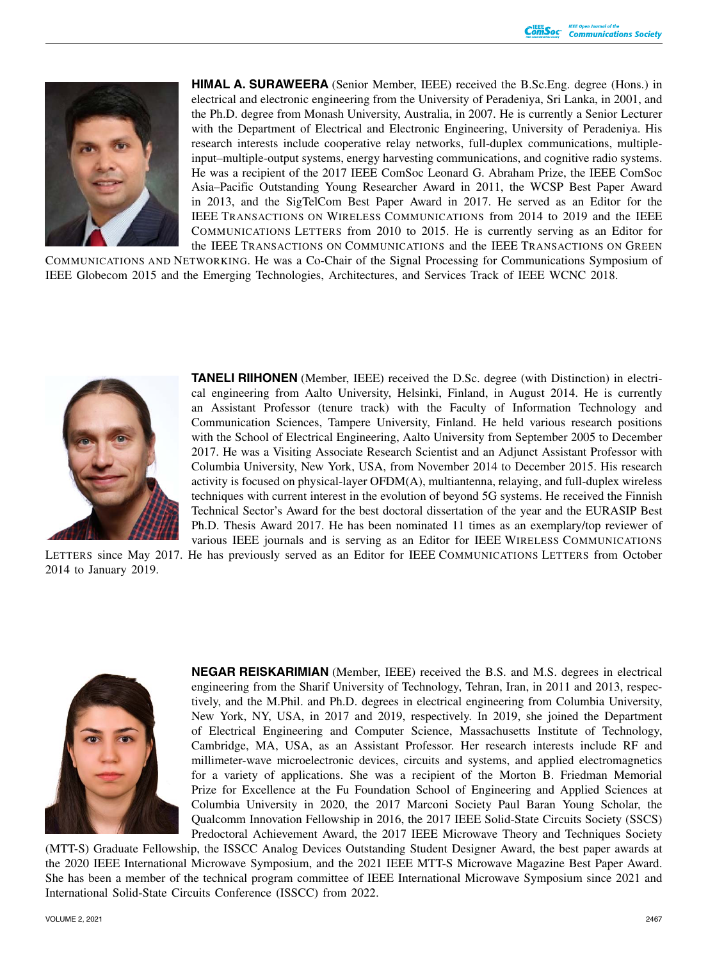

**HIMAL A. SURAWEERA** (Senior Member, IEEE) received the B.Sc.Eng. degree (Hons.) in electrical and electronic engineering from the University of Peradeniya, Sri Lanka, in 2001, and the Ph.D. degree from Monash University, Australia, in 2007. He is currently a Senior Lecturer with the Department of Electrical and Electronic Engineering, University of Peradeniya. His research interests include cooperative relay networks, full-duplex communications, multipleinput–multiple-output systems, energy harvesting communications, and cognitive radio systems. He was a recipient of the 2017 IEEE ComSoc Leonard G. Abraham Prize, the IEEE ComSoc Asia–Pacific Outstanding Young Researcher Award in 2011, the WCSP Best Paper Award in 2013, and the SigTelCom Best Paper Award in 2017. He served as an Editor for the IEEE TRANSACTIONS ON WIRELESS COMMUNICATIONS from 2014 to 2019 and the IEEE COMMUNICATIONS LETTERS from 2010 to 2015. He is currently serving as an Editor for the IEEE TRANSACTIONS ON COMMUNICATIONS and the IEEE TRANSACTIONS ON GREEN

COMMUNICATIONS AND NETWORKING. He was a Co-Chair of the Signal Processing for Communications Symposium of IEEE Globecom 2015 and the Emerging Technologies, Architectures, and Services Track of IEEE WCNC 2018.



**TANELI RIIHONEN** (Member, IEEE) received the D.Sc. degree (with Distinction) in electrical engineering from Aalto University, Helsinki, Finland, in August 2014. He is currently an Assistant Professor (tenure track) with the Faculty of Information Technology and Communication Sciences, Tampere University, Finland. He held various research positions with the School of Electrical Engineering, Aalto University from September 2005 to December 2017. He was a Visiting Associate Research Scientist and an Adjunct Assistant Professor with Columbia University, New York, USA, from November 2014 to December 2015. His research activity is focused on physical-layer OFDM(A), multiantenna, relaying, and full-duplex wireless techniques with current interest in the evolution of beyond 5G systems. He received the Finnish Technical Sector's Award for the best doctoral dissertation of the year and the EURASIP Best Ph.D. Thesis Award 2017. He has been nominated 11 times as an exemplary/top reviewer of various IEEE journals and is serving as an Editor for IEEE WIRELESS COMMUNICATIONS

LETTERS since May 2017. He has previously served as an Editor for IEEE COMMUNICATIONS LETTERS from October 2014 to January 2019.



**NEGAR REISKARIMIAN** (Member, IEEE) received the B.S. and M.S. degrees in electrical engineering from the Sharif University of Technology, Tehran, Iran, in 2011 and 2013, respectively, and the M.Phil. and Ph.D. degrees in electrical engineering from Columbia University, New York, NY, USA, in 2017 and 2019, respectively. In 2019, she joined the Department of Electrical Engineering and Computer Science, Massachusetts Institute of Technology, Cambridge, MA, USA, as an Assistant Professor. Her research interests include RF and millimeter-wave microelectronic devices, circuits and systems, and applied electromagnetics for a variety of applications. She was a recipient of the Morton B. Friedman Memorial Prize for Excellence at the Fu Foundation School of Engineering and Applied Sciences at Columbia University in 2020, the 2017 Marconi Society Paul Baran Young Scholar, the Qualcomm Innovation Fellowship in 2016, the 2017 IEEE Solid-State Circuits Society (SSCS) Predoctoral Achievement Award, the 2017 IEEE Microwave Theory and Techniques Society

(MTT-S) Graduate Fellowship, the ISSCC Analog Devices Outstanding Student Designer Award, the best paper awards at the 2020 IEEE International Microwave Symposium, and the 2021 IEEE MTT-S Microwave Magazine Best Paper Award. She has been a member of the technical program committee of IEEE International Microwave Symposium since 2021 and International Solid-State Circuits Conference (ISSCC) from 2022.